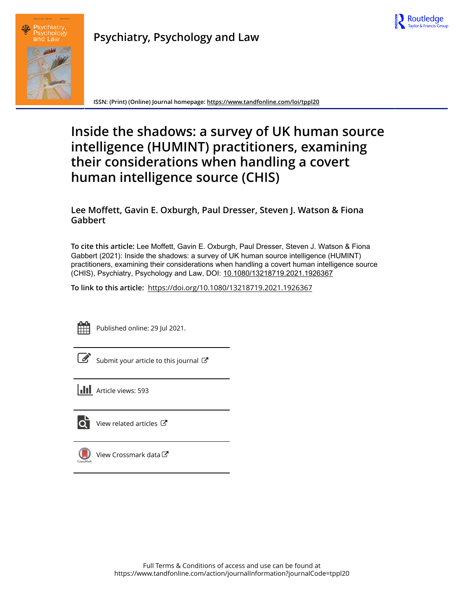



**ISSN: (Print) (Online) Journal homepage:<https://www.tandfonline.com/loi/tppl20>**

# **Inside the shadows: a survey of UK human source intelligence (HUMINT) practitioners, examining their considerations when handling a covert human intelligence source (CHIS)**

# **Lee Moffett, Gavin E. Oxburgh, Paul Dresser, Steven J. Watson & Fiona Gabbert**

**To cite this article:** Lee Moffett, Gavin E. Oxburgh, Paul Dresser, Steven J. Watson & Fiona Gabbert (2021): Inside the shadows: a survey of UK human source intelligence (HUMINT) practitioners, examining their considerations when handling a covert human intelligence source (CHIS), Psychiatry, Psychology and Law, DOI: [10.1080/13218719.2021.1926367](https://www.tandfonline.com/action/showCitFormats?doi=10.1080/13218719.2021.1926367)

**To link to this article:** <https://doi.org/10.1080/13218719.2021.1926367>



Published online: 29 Jul 2021.

 $\overrightarrow{S}$  [Submit your article to this journal](https://www.tandfonline.com/action/authorSubmission?journalCode=tppl20&show=instructions)  $\overrightarrow{S}$ 

**III** Article views: 593



[View related articles](https://www.tandfonline.com/doi/mlt/10.1080/13218719.2021.1926367) C



[View Crossmark data](http://crossmark.crossref.org/dialog/?doi=10.1080/13218719.2021.1926367&domain=pdf&date_stamp=2021-07-29)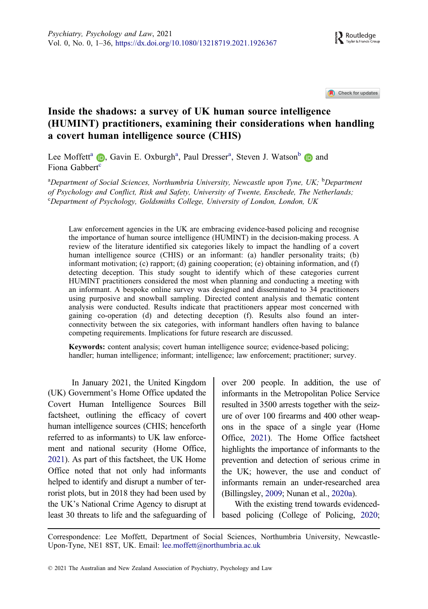Check for updates

# <span id="page-1-0"></span>Inside the shadows: a survey of UK human source intelligence (HUMINT) practitioners, examining their considerations when handling a covert human intelligence source (CHIS)

Lee Moffett<sup>a</sup> (D), Gavin E. Oxburgh<sup>a</sup>, Paul Dresser<sup>a</sup>, Steven J. Watson<sup>b</sup> (D) and Fiona Gabbert<sup>[c](http://orcid.org/0000-0002-7077-1009)</sup>

<sup>a</sup>Department of Social Sciences, Northumbria University, Newcastle upon Tyne, UK; <sup>b</sup>Department of Psychology and Conflict, Risk and Safety, University of Twente, Enschede, The Netherlands; <sup>c</sup>Department of Psychology, Goldsmiths College, University of London, London, UK

Law enforcement agencies in the UK are embracing evidence-based policing and recognise the importance of human source intelligence (HUMINT) in the decision-making process. A review of the literature identified six categories likely to impact the handling of a covert human intelligence source (CHIS) or an informant: (a) handler personality traits; (b) informant motivation; (c) rapport; (d) gaining cooperation; (e) obtaining information, and (f) detecting deception. This study sought to identify which of these categories current HUMINT practitioners considered the most when planning and conducting a meeting with an informant. A bespoke online survey was designed and disseminated to 34 practitioners using purposive and snowball sampling. Directed content analysis and thematic content analysis were conducted. Results indicate that practitioners appear most concerned with gaining co-operation (d) and detecting deception (f). Results also found an interconnectivity between the six categories, with informant handlers often having to balance competing requirements. Implications for future research are discussed.

Keywords: content analysis; covert human intelligence source; evidence-based policing; handler; human intelligence; informant; intelligence; law enforcement; practitioner; survey.

In January 2021, the United Kingdom (UK) Government's Home Office updated the Covert Human Intelligence Sources Bill factsheet, outlining the efficacy of covert human intelligence sources (CHIS; henceforth referred to as informants) to UK law enforcement and national security (Home Office, [2021\)](#page-18-0). As part of this factsheet, the UK Home Office noted that not only had informants helped to identify and disrupt a number of terrorist plots, but in 2018 they had been used by the UK's National Crime Agency to disrupt at least 30 threats to life and the safeguarding of over 200 people. In addition, the use of informants in the Metropolitan Police Service resulted in 3500 arrests together with the seizure of over 100 firearms and 400 other weapons in the space of a single year (Home Office, [2021](#page-18-0)). The Home Office factsheet highlights the importance of informants to the prevention and detection of serious crime in the UK; however, the use and conduct of informants remain an under-researched area (Billingsley, [2009](#page-17-0); Nunan et al., [2020a](#page-18-0)).

With the existing trend towards evidencedbased policing (College of Policing, [2020](#page-17-0);

Correspondence: Lee Moffett, Department of Social Sciences, Northumbria University, Newcastle-Upon-Tyne, NE1 8ST, UK. Email: lee.moffett@northumbria.ac.uk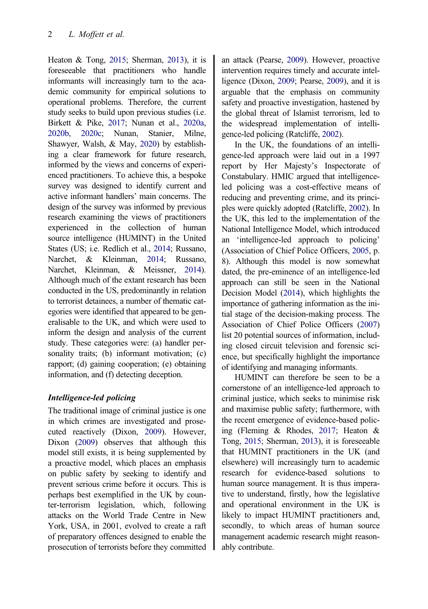<span id="page-2-0"></span>Heaton & Tong, [2015](#page-17-0); Sherman, [2013](#page-19-0)), it is foreseeable that practitioners who handle informants will increasingly turn to the academic community for empirical solutions to operational problems. Therefore, the current study seeks to build upon previous studies (i.e. Birkett & Pike, [2017;](#page-17-0) Nunan et al., [2020a](#page-18-0), [2020b](#page-18-0), [2020c;](#page-18-0) Nunan, Stanier, Milne, Shawyer, Walsh, & May, [2020\)](#page-18-0) by establishing a clear framework for future research, informed by the views and concerns of experienced practitioners. To achieve this, a bespoke survey was designed to identify current and active informant handlers' main concerns. The design of the survey was informed by previous research examining the views of practitioners experienced in the collection of human source intelligence (HUMINT) in the United States (US; i.e. Redlich et al., [2014](#page-18-0); Russano, Narchet, & Kleinman, [2014;](#page-19-0) Russano, Narchet, Kleinman, & Meissner, [2014](#page-19-0)). Although much of the extant research has been conducted in the US, predominantly in relation to terrorist detainees, a number of thematic categories were identified that appeared to be generalisable to the UK, and which were used to inform the design and analysis of the current study. These categories were: (a) handler personality traits; (b) informant motivation; (c) rapport; (d) gaining cooperation; (e) obtaining information, and (f) detecting deception.

#### Intelligence-led policing

The traditional image of criminal justice is one in which crimes are investigated and prosecuted reactively (Dixon, [2009](#page-17-0)). However, Dixon [\(2009](#page-17-0)) observes that although this model still exists, it is being supplemented by a proactive model, which places an emphasis on public safety by seeking to identify and prevent serious crime before it occurs. This is perhaps best exemplified in the UK by counter-terrorism legislation, which, following attacks on the World Trade Centre in New York, USA, in 2001, evolved to create a raft of preparatory offences designed to enable the prosecution of terrorists before they committed an attack (Pearse, [2009](#page-18-0)). However, proactive intervention requires timely and accurate intelligence (Dixon, [2009;](#page-17-0) Pearse, [2009](#page-18-0)), and it is arguable that the emphasis on community safety and proactive investigation, hastened by the global threat of Islamist terrorism, led to the widespread implementation of intelligence-led policing (Ratcliffe, [2002\)](#page-18-0).

In the UK, the foundations of an intelligence-led approach were laid out in a 1997 report by Her Majesty's Inspectorate of Constabulary. HMIC argued that intelligenceled policing was a cost-effective means of reducing and preventing crime, and its principles were quickly adopted (Ratcliffe, [2002\)](#page-18-0). In the UK, this led to the implementation of the National Intelligence Model, which introduced an 'intelligence-led approach to policing' (Association of Chief Police Officers, [2005](#page-17-0), p. 8). Although this model is now somewhat dated, the pre-eminence of an intelligence-led approach can still be seen in the National Decision Model ([2014](#page-19-0)), which highlights the importance of gathering information as the initial stage of the decision-making process. The Association of Chief Police Officers [\(2007\)](#page-17-0) list 20 potential sources of information, including closed circuit television and forensic science, but specifically highlight the importance of identifying and managing informants.

HUMINT can therefore be seen to be a cornerstone of an intelligence-led approach to criminal justice, which seeks to minimise risk and maximise public safety; furthermore, with the recent emergence of evidence-based policing (Fleming & Rhodes, [2017](#page-17-0); Heaton & Tong, [2015](#page-17-0); Sherman, [2013\)](#page-19-0), it is foreseeable that HUMINT practitioners in the UK (and elsewhere) will increasingly turn to academic research for evidence-based solutions to human source management. It is thus imperative to understand, firstly, how the legislative and operational environment in the UK is likely to impact HUMINT practitioners and, secondly, to which areas of human source management academic research might reasonably contribute.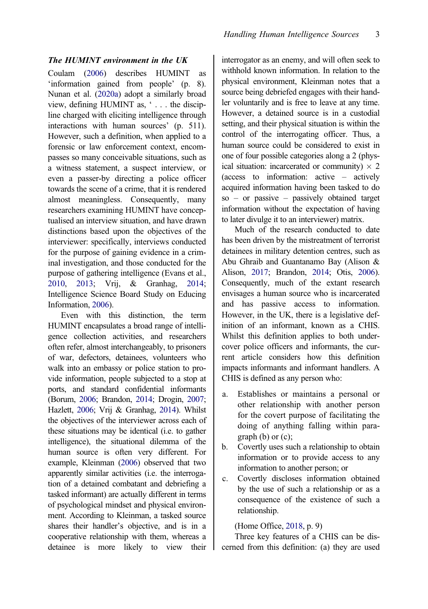#### <span id="page-3-0"></span>The HUMINT environment in the UK

Coulam [\(2006](#page-17-0)) describes HUMINT as 'information gained from people' (p. 8). Nunan et al. ([2020a](#page-18-0)) adopt a similarly broad view, defining HUMINT as, ' . . . the discipline charged with eliciting intelligence through interactions with human sources' (p. 511). However, such a definition, when applied to a forensic or law enforcement context, encompasses so many conceivable situations, such as a witness statement, a suspect interview, or even a passer-by directing a police officer towards the scene of a crime, that it is rendered almost meaningless. Consequently, many researchers examining HUMINT have conceptualised an interview situation, and have drawn distinctions based upon the objectives of the interviewer: specifically, interviews conducted for the purpose of gaining evidence in a criminal investigation, and those conducted for the purpose of gathering intelligence (Evans et al., [2010,](#page-17-0) [2013](#page-17-0); Vrij, & Granhag, [2014;](#page-19-0) Intelligence Science Board Study on Educing Information, [2006\)](#page-18-0).

Even with this distinction, the term HUMINT encapsulates a broad range of intelligence collection activities, and researchers often refer, almost interchangeably, to prisoners of war, defectors, detainees, volunteers who walk into an embassy or police station to provide information, people subjected to a stop at ports, and standard confidential informants (Borum, [2006;](#page-17-0) Brandon, [2014;](#page-17-0) Drogin, [2007;](#page-17-0) Hazlett, [2006;](#page-17-0) Vrij & Granhag, [2014\)](#page-19-0). Whilst the objectives of the interviewer across each of these situations may be identical (i.e. to gather intelligence), the situational dilemma of the human source is often very different. For example, Kleinman [\(2006](#page-18-0)) observed that two apparently similar activities (i.e. the interrogation of a detained combatant and debriefing a tasked informant) are actually different in terms of psychological mindset and physical environment. According to Kleinman, a tasked source shares their handler's objective, and is in a cooperative relationship with them, whereas a detainee is more likely to view their

interrogator as an enemy, and will often seek to withhold known information. In relation to the physical environment, Kleinman notes that a source being debriefed engages with their handler voluntarily and is free to leave at any time. However, a detained source is in a custodial setting, and their physical situation is within the control of the interrogating officer. Thus, a human source could be considered to exist in one of four possible categories along a 2 (physical situation: incarcerated or community)  $\times$  2 (access to information: active – actively acquired information having been tasked to do so – or passive – passively obtained target information without the expectation of having to later divulge it to an interviewer) matrix.

Much of the research conducted to date has been driven by the mistreatment of terrorist detainees in military detention centres, such as Abu Ghraib and Guantanamo Bay (Alison & Alison, [2017](#page-16-0); Brandon, [2014](#page-17-0); Otis, [2006](#page-18-0)). Consequently, much of the extant research envisages a human source who is incarcerated and has passive access to information. However, in the UK, there is a legislative definition of an informant, known as a CHIS. Whilst this definition applies to both undercover police officers and informants, the current article considers how this definition impacts informants and informant handlers. A CHIS is defined as any person who:

- a. Establishes or maintains a personal or other relationship with another person for the covert purpose of facilitating the doing of anything falling within para $graph (b)$  or  $(c)$ ;
- b. Covertly uses such a relationship to obtain information or to provide access to any information to another person; or
- c. Covertly discloses information obtained by the use of such a relationship or as a consequence of the existence of such a relationship.

#### (Home Office, [2018,](#page-18-0) p. 9)

Three key features of a CHIS can be discerned from this definition: (a) they are used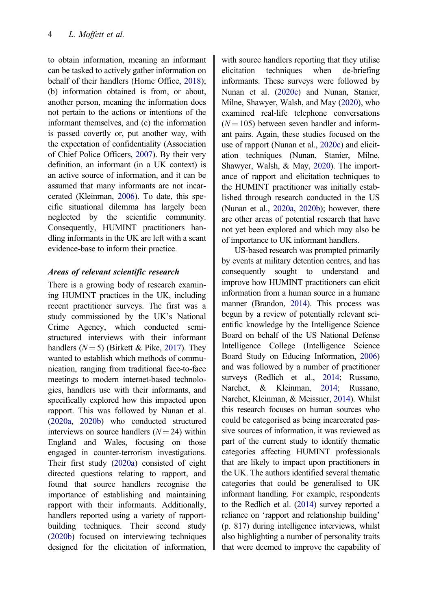to obtain information, meaning an informant can be tasked to actively gather information on behalf of their handlers (Home Office, [2018\)](#page-18-0); (b) information obtained is from, or about, another person, meaning the information does not pertain to the actions or intentions of the informant themselves, and (c) the information is passed covertly or, put another way, with the expectation of confidentiality (Association of Chief Police Officers, [2007\)](#page-17-0). By their very definition, an informant (in a UK context) is an active source of information, and it can be assumed that many informants are not incarcerated (Kleinman, [2006](#page-18-0)). To date, this specific situational dilemma has largely been neglected by the scientific community. Consequently, HUMINT practitioners handling informants in the UK are left with a scant evidence-base to inform their practice.

#### Areas of relevant scientific research

There is a growing body of research examining HUMINT practices in the UK, including recent practitioner surveys. The first was a study commissioned by the UK's National Crime Agency, which conducted semistructured interviews with their informant handlers  $(N=5)$  (Birkett & Pike, [2017\)](#page-17-0). They wanted to establish which methods of communication, ranging from traditional face-to-face meetings to modern internet-based technologies, handlers use with their informants, and specifically explored how this impacted upon rapport. This was followed by Nunan et al. [\(2020a](#page-18-0), [2020b](#page-18-0)) who conducted structured interviews on source handlers  $(N = 24)$  within England and Wales, focusing on those engaged in counter-terrorism investigations. Their first study ([2020a](#page-18-0)) consisted of eight directed questions relating to rapport, and found that source handlers recognise the importance of establishing and maintaining rapport with their informants. Additionally, handlers reported using a variety of rapportbuilding techniques. Their second study [\(2020b\)](#page-18-0) focused on interviewing techniques designed for the elicitation of information,

with source handlers reporting that they utilise elicitation techniques when de-briefing informants. These surveys were followed by Nunan et al. [\(2020c\)](#page-18-0) and Nunan, Stanier, Milne, Shawyer, Walsh, and May [\(2020\)](#page-18-0), who examined real-life telephone conversations  $(N = 105)$  between seven handler and informant pairs. Again, these studies focused on the use of rapport (Nunan et al., [2020c\)](#page-18-0) and elicitation techniques (Nunan, Stanier, Milne, Shawyer, Walsh, & May, [2020\)](#page-18-0). The importance of rapport and elicitation techniques to the HUMINT practitioner was initially established through research conducted in the US (Nunan et al., [2020a,](#page-18-0) [2020b](#page-18-0)); however, there are other areas of potential research that have not yet been explored and which may also be of importance to UK informant handlers.

US-based research was prompted primarily by events at military detention centres, and has consequently sought to understand and improve how HUMINT practitioners can elicit information from a human source in a humane manner (Brandon, [2014](#page-17-0)). This process was begun by a review of potentially relevant scientific knowledge by the Intelligence Science Board on behalf of the US National Defense Intelligence College (Intelligence Science Board Study on Educing Information, [2006\)](#page-18-0) and was followed by a number of practitioner surveys (Redlich et al., [2014](#page-18-0); Russano, Narchet, & Kleinman, [2014](#page-19-0); Russano, Narchet, Kleinman, & Meissner, [2014\)](#page-19-0). Whilst this research focuses on human sources who could be categorised as being incarcerated passive sources of information, it was reviewed as part of the current study to identify thematic categories affecting HUMINT professionals that are likely to impact upon practitioners in the UK. The authors identified several thematic categories that could be generalised to UK informant handling. For example, respondents to the Redlich et al. [\(2014\)](#page-18-0) survey reported a reliance on 'rapport and relationship building' (p. 817) during intelligence interviews, whilst also highlighting a number of personality traits that were deemed to improve the capability of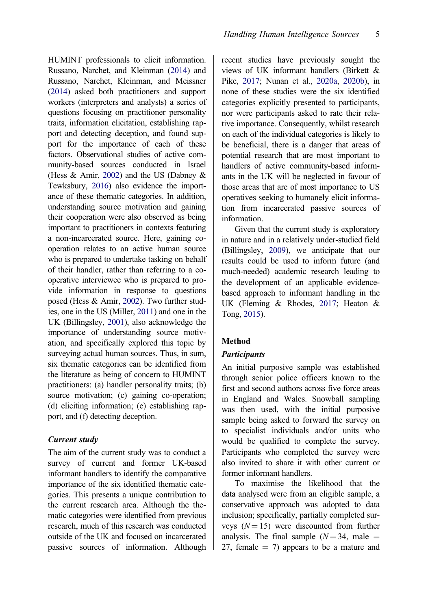<span id="page-5-0"></span>HUMINT professionals to elicit information. Russano, Narchet, and Kleinman ([2014\)](#page-19-0) and Russano, Narchet, Kleinman, and Meissner [\(2014\)](#page-19-0) asked both practitioners and support workers (interpreters and analysts) a series of questions focusing on practitioner personality traits, information elicitation, establishing rapport and detecting deception, and found support for the importance of each of these factors. Observational studies of active community-based sources conducted in Israel (Hess & Amir, [2002\)](#page-18-0) and the US (Dabney  $\&$ Tewksbury, [2016](#page-17-0)) also evidence the importance of these thematic categories. In addition, understanding source motivation and gaining their cooperation were also observed as being important to practitioners in contexts featuring a non-incarcerated source. Here, gaining cooperation relates to an active human source who is prepared to undertake tasking on behalf of their handler, rather than referring to a cooperative interviewee who is prepared to provide information in response to questions posed (Hess & Amir, [2002\)](#page-18-0). Two further studies, one in the US (Miller, [2011](#page-18-0)) and one in the UK (Billingsley, [2001](#page-17-0)), also acknowledge the importance of understanding source motivation, and specifically explored this topic by surveying actual human sources. Thus, in sum, six thematic categories can be identified from the literature as being of concern to HUMINT practitioners: (a) handler personality traits; (b) source motivation; (c) gaining co-operation; (d) eliciting information; (e) establishing rapport, and (f) detecting deception.

#### Current study

The aim of the current study was to conduct a survey of current and former UK-based informant handlers to identify the comparative importance of the six identified thematic categories. This presents a unique contribution to the current research area. Although the thematic categories were identified from previous research, much of this research was conducted outside of the UK and focused on incarcerated passive sources of information. Although recent studies have previously sought the views of UK informant handlers (Birkett & Pike, [2017](#page-17-0); Nunan et al., [2020a,](#page-18-0) [2020b](#page-18-0)), in none of these studies were the six identified categories explicitly presented to participants, nor were participants asked to rate their relative importance. Consequently, whilst research on each of the individual categories is likely to be beneficial, there is a danger that areas of potential research that are most important to handlers of active community-based informants in the UK will be neglected in favour of those areas that are of most importance to US operatives seeking to humanely elicit information from incarcerated passive sources of information.

Given that the current study is exploratory in nature and in a relatively under-studied field (Billingsley, [2009](#page-17-0)), we anticipate that our results could be used to inform future (and much-needed) academic research leading to the development of an applicable evidencebased approach to informant handling in the UK (Fleming & Rhodes, [2017;](#page-17-0) Heaton & Tong, [2015](#page-17-0)).

#### Method

#### **Participants**

An initial purposive sample was established through senior police officers known to the first and second authors across five force areas in England and Wales. Snowball sampling was then used, with the initial purposive sample being asked to forward the survey on to specialist individuals and/or units who would be qualified to complete the survey. Participants who completed the survey were also invited to share it with other current or former informant handlers.

To maximise the likelihood that the data analysed were from an eligible sample, a conservative approach was adopted to data inclusion; specifically, partially completed surveys  $(N = 15)$  were discounted from further analysis. The final sample  $(N = 34$ , male = 27, female  $= 7$ ) appears to be a mature and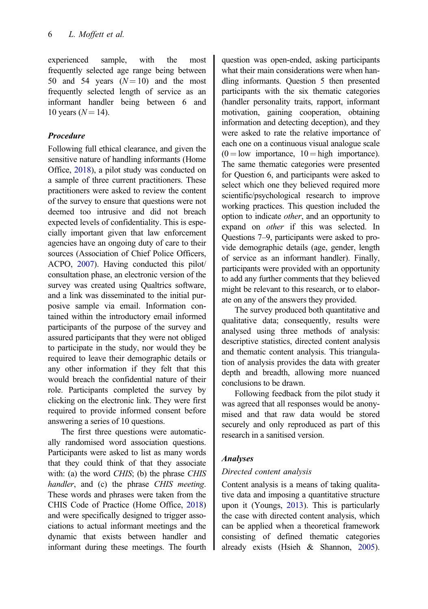<span id="page-6-0"></span>experienced sample, with the most frequently selected age range being between 50 and 54 years  $(N=10)$  and the most frequently selected length of service as an informant handler being between 6 and 10 years  $(N = 14)$ .

# Procedure

Following full ethical clearance, and given the sensitive nature of handling informants (Home Office, [2018\)](#page-18-0), a pilot study was conducted on a sample of three current practitioners. These practitioners were asked to review the content of the survey to ensure that questions were not deemed too intrusive and did not breach expected levels of confidentiality. This is especially important given that law enforcement agencies have an ongoing duty of care to their sources (Association of Chief Police Officers, ACPO, [2007](#page-17-0)). Having conducted this pilot/ consultation phase, an electronic version of the survey was created using Qualtrics software, and a link was disseminated to the initial purposive sample via email. Information contained within the introductory email informed participants of the purpose of the survey and assured participants that they were not obliged to participate in the study, nor would they be required to leave their demographic details or any other information if they felt that this would breach the confidential nature of their role. Participants completed the survey by clicking on the electronic link. They were first required to provide informed consent before answering a series of 10 questions.

The first three questions were automatically randomised word association questions. Participants were asked to list as many words that they could think of that they associate with: (a) the word CHIS; (b) the phrase CHIS handler, and (c) the phrase CHIS meeting. These words and phrases were taken from the CHIS Code of Practice (Home Office, [2018](#page-18-0)) and were specifically designed to trigger associations to actual informant meetings and the dynamic that exists between handler and informant during these meetings. The fourth question was open-ended, asking participants what their main considerations were when handling informants. Question 5 then presented participants with the six thematic categories (handler personality traits, rapport, informant motivation, gaining cooperation, obtaining information and detecting deception), and they were asked to rate the relative importance of each one on a continuous visual analogue scale  $(0 = low$  importance,  $10 = high$  importance). The same thematic categories were presented for Question 6, and participants were asked to select which one they believed required more scientific/psychological research to improve working practices. This question included the option to indicate other, and an opportunity to expand on other if this was selected. In Questions 7–9, participants were asked to provide demographic details (age, gender, length of service as an informant handler). Finally, participants were provided with an opportunity to add any further comments that they believed might be relevant to this research, or to elaborate on any of the answers they provided.

The survey produced both quantitative and qualitative data; consequently, results were analysed using three methods of analysis: descriptive statistics, directed content analysis and thematic content analysis. This triangulation of analysis provides the data with greater depth and breadth, allowing more nuanced conclusions to be drawn.

Following feedback from the pilot study it was agreed that all responses would be anonymised and that raw data would be stored securely and only reproduced as part of this research in a sanitised version.

# Analyses

# Directed content analysis

Content analysis is a means of taking qualitative data and imposing a quantitative structure upon it (Youngs, [2013\)](#page-19-0). This is particularly the case with directed content analysis, which can be applied when a theoretical framework consisting of defined thematic categories already exists (Hsieh & Shannon, [2005](#page-18-0)).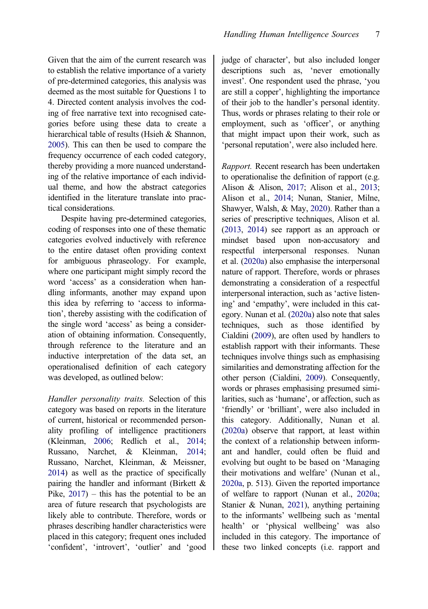<span id="page-7-0"></span>Given that the aim of the current research was to establish the relative importance of a variety of pre-determined categories, this analysis was deemed as the most suitable for Questions 1 to 4. Directed content analysis involves the coding of free narrative text into recognised categories before using these data to create a hierarchical table of results (Hsieh & Shannon, [2005\)](#page-18-0). This can then be used to compare the frequency occurrence of each coded category, thereby providing a more nuanced understanding of the relative importance of each individual theme, and how the abstract categories identified in the literature translate into practical considerations.

Despite having pre-determined categories, coding of responses into one of these thematic categories evolved inductively with reference to the entire dataset often providing context for ambiguous phraseology. For example, where one participant might simply record the word 'access' as a consideration when handling informants, another may expand upon this idea by referring to 'access to information', thereby assisting with the codification of the single word 'access' as being a consideration of obtaining information. Consequently, through reference to the literature and an inductive interpretation of the data set, an operationalised definition of each category was developed, as outlined below:

Handler personality traits. Selection of this category was based on reports in the literature of current, historical or recommended personality profiling of intelligence practitioners (Kleinman, [2006;](#page-18-0) Redlich et al., [2014;](#page-18-0) Russano, Narchet, & Kleinman, [2014;](#page-19-0) Russano, Narchet, Kleinman, & Meissner, [2014\)](#page-19-0) as well as the practice of specifically pairing the handler and informant (Birkett & Pike,  $2017$ ) – this has the potential to be an area of future research that psychologists are likely able to contribute. Therefore, words or phrases describing handler characteristics were placed in this category; frequent ones included 'confident', 'introvert', 'outlier' and 'good judge of character', but also included longer descriptions such as, 'never emotionally invest'. One respondent used the phrase, 'you are still a copper', highlighting the importance of their job to the handler's personal identity. Thus, words or phrases relating to their role or employment, such as 'officer', or anything that might impact upon their work, such as 'personal reputation', were also included here.

Rapport. Recent research has been undertaken to operationalise the definition of rapport (e.g. Alison & Alison, [2017](#page-16-0); Alison et al., [2013](#page-16-0); Alison et al., [2014;](#page-16-0) Nunan, Stanier, Milne, Shawyer, Walsh, & May, [2020](#page-18-0)). Rather than a series of prescriptive techniques, Alison et al. ([2013](#page-16-0), [2014\)](#page-16-0) see rapport as an approach or mindset based upon non-accusatory and respectful interpersonal responses. Nunan et al. [\(2020a\)](#page-18-0) also emphasise the interpersonal nature of rapport. Therefore, words or phrases demonstrating a consideration of a respectful interpersonal interaction, such as 'active listening' and 'empathy', were included in this category. Nunan et al. [\(2020a](#page-18-0)) also note that sales techniques, such as those identified by Cialdini [\(2009\)](#page-17-0), are often used by handlers to establish rapport with their informants. These techniques involve things such as emphasising similarities and demonstrating affection for the other person (Cialdini, [2009\)](#page-17-0). Consequently, words or phrases emphasising presumed similarities, such as 'humane', or affection, such as 'friendly' or 'brilliant', were also included in this category. Additionally, Nunan et al. ([2020a](#page-18-0)) observe that rapport, at least within the context of a relationship between informant and handler, could often be fluid and evolving but ought to be based on 'Managing their motivations and welfare' (Nunan et al., [2020a](#page-18-0), p. 513). Given the reported importance of welfare to rapport (Nunan et al., [2020a](#page-18-0); Stanier & Nunan, [2021\)](#page-19-0), anything pertaining to the informants' wellbeing such as 'mental health' or 'physical wellbeing' was also included in this category. The importance of these two linked concepts (i.e. rapport and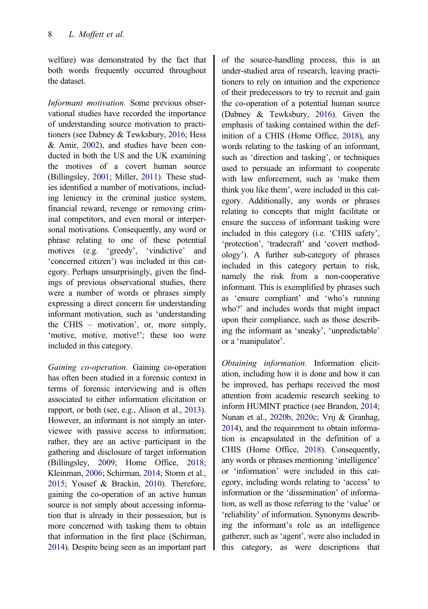<span id="page-8-0"></span>welfare) was demonstrated by the fact that both words frequently occurred throughout the dataset.

Informant motivation. Some previous observational studies have recorded the importance of understanding source motivation to practitioners (see Dabney & Tewksbury, [2016](#page-17-0); Hess & Amir, [2002\)](#page-18-0), and studies have been conducted in both the US and the UK examining the motives of a covert human source (Billingsley, [2001](#page-17-0); Miller, [2011](#page-18-0)). These studies identified a number of motivations, including leniency in the criminal justice system, financial reward, revenge or removing criminal competitors, and even moral or interpersonal motivations. Consequently, any word or phrase relating to one of these potential motives (e.g. 'greedy', 'vindictive' and 'concerned citizen') was included in this category. Perhaps unsurprisingly, given the findings of previous observational studies, there were a number of words or phrases simply expressing a direct concern for understanding informant motivation, such as 'understanding the CHIS – motivation', or, more simply, 'motive, motive, motive!'; these too were included in this category.

Gaining co-operation. Gaining co-operation has often been studied in a forensic context in terms of forensic interviewing and is often associated to either information elicitation or rapport, or both (see, e.g., Alison et al., [2013](#page-16-0)). However, an informant is not simply an interviewee with passive access to information; rather, they are an active participant in the gathering and disclosure of target information (Billingsley, [2009](#page-17-0); Home Office, [2018;](#page-18-0) Kleinman, [2006;](#page-18-0) Schirman, [2014;](#page-19-0) Storm et al., [2015;](#page-19-0) Yousef & Brackin, [2010](#page-19-0)). Therefore, gaining the co-operation of an active human source is not simply about accessing information that is already in their possession, but is more concerned with tasking them to obtain that information in the first place (Schirman, [2014\)](#page-19-0). Despite being seen as an important part

of the source-handling process, this is an under-studied area of research, leaving practitioners to rely on intuition and the experience of their predecessors to try to recruit and gain the co-operation of a potential human source (Dabney & Tewksbury, [2016\)](#page-17-0). Given the emphasis of tasking contained within the definition of a CHIS (Home Office, [2018](#page-18-0)), any words relating to the tasking of an informant, such as 'direction and tasking', or techniques used to persuade an informant to cooperate with law enforcement, such as 'make them think you like them', were included in this category. Additionally, any words or phrases relating to concepts that might facilitate or ensure the success of informant tasking were included in this category (i.e. 'CHIS safety', 'protection', 'tradecraft' and 'covert methodology'). A further sub-category of phrases included in this category pertain to risk, namely the risk from a non-cooperative informant. This is exemplified by phrases such as 'ensure compliant' and 'who's running who?' and includes words that might impact upon their compliance, such as those describing the informant as 'sneaky', 'unpredictable' or a 'manipulator'.

Obtaining information. Information elicitation, including how it is done and how it can be improved, has perhaps received the most attention from academic research seeking to inform HUMINT practice (see Brandon, [2014](#page-17-0); Nunan et al., [2020b](#page-18-0), [2020c](#page-18-0); Vrij & Granhag, [2014\)](#page-19-0), and the requirement to obtain information is encapsulated in the definition of a CHIS (Home Office, [2018](#page-18-0)). Consequently, any words or phrases mentioning 'intelligence' or 'information' were included in this category, including words relating to 'access' to information or the 'dissemination' of information, as well as those referring to the 'value' or 'reliability' of information. Synonyms describing the informant's role as an intelligence gatherer, such as 'agent', were also included in this category, as were descriptions that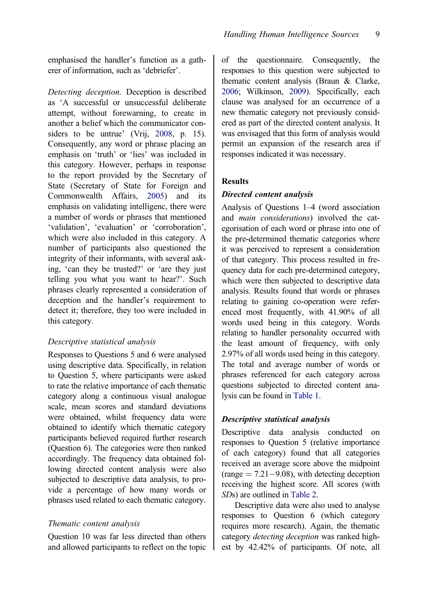<span id="page-9-0"></span>emphasised the handler's function as a gatherer of information, such as 'debriefer'.

Detecting deception. Deception is described as 'A successful or unsuccessful deliberate attempt, without forewarning, to create in another a belief which the communicator con-siders to be untrue' (Vrij, [2008,](#page-19-0) p. 15). Consequently, any word or phrase placing an emphasis on 'truth' or 'lies' was included in this category. However, perhaps in response to the report provided by the Secretary of State (Secretary of State for Foreign and Commonwealth Affairs, [2005](#page-19-0)) and its emphasis on validating intelligenc, there were a number of words or phrases that mentioned 'validation', 'evaluation' or 'corroboration', which were also included in this category. A number of participants also questioned the integrity of their informants, with several asking, 'can they be trusted?' or 'are they just telling you what you want to hear?'. Such phrases clearly represented a consideration of deception and the handler's requirement to detect it; therefore, they too were included in this category.

#### Descriptive statistical analysis

Responses to Questions 5 and 6 were analysed using descriptive data. Specifically, in relation to Question 5, where participants were asked to rate the relative importance of each thematic category along a continuous visual analogue scale, mean scores and standard deviations were obtained, whilst frequency data were obtained to identify which thematic category participants believed required further research (Question 6). The categories were then ranked accordingly. The frequency data obtained following directed content analysis were also subjected to descriptive data analysis, to provide a percentage of how many words or phrases used related to each thematic category.

# Thematic content analysis

Question 10 was far less directed than others and allowed participants to reflect on the topic of the questionnaire. Consequently, the responses to this question were subjected to thematic content analysis (Braun & Clarke, [2006;](#page-17-0) Wilkinson, [2009\)](#page-19-0). Specifically, each clause was analysed for an occurrence of a new thematic category not previously considered as part of the directed content analysis. It was envisaged that this form of analysis would permit an expansion of the research area if responses indicated it was necessary.

# Results

# Directed content analysis

Analysis of Questions 1–4 (word association and main considerations) involved the categorisation of each word or phrase into one of the pre-determined thematic categories where it was perceived to represent a consideration of that category. This process resulted in frequency data for each pre-determined category, which were then subjected to descriptive data analysis. Results found that words or phrases relating to gaining co-operation were referenced most frequently, with 41.90% of all words used being in this category. Words relating to handler personality occurred with the least amount of frequency, with only 2.97% of all words used being in this category. The total and average number of words or phrases referenced for each category across questions subjected to directed content analysis can be found in [Table 1.](#page-10-0)

# Descriptive statistical analysis

Descriptive data analysis conducted on responses to Question 5 (relative importance of each category) found that all categories received an average score above the midpoint  $(\text{range} = 7.21 - 9.08)$ , with detecting deception receiving the highest score. All scores (with SDs) are outlined in [Table 2.](#page-10-0)

Descriptive data were also used to analyse responses to Question 6 (which category requires more research). Again, the thematic category detecting deception was ranked highest by 42.42% of participants. Of note, all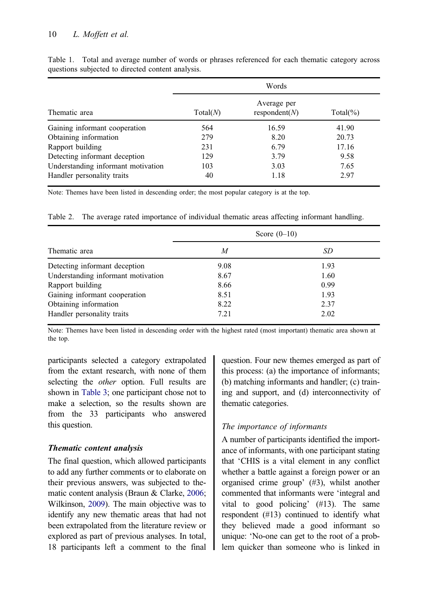|                                    | Words    |                              |             |  |
|------------------------------------|----------|------------------------------|-------------|--|
| Thematic area                      | Total(N) | Average per<br>respondent(N) | $Total(\%)$ |  |
| Gaining informant cooperation      | 564      | 16.59                        | 41.90       |  |
| Obtaining information              | 279      | 8.20                         | 20.73       |  |
| Rapport building                   | 231      | 6.79                         | 17.16       |  |
| Detecting informant deception      | 129      | 3.79                         | 9.58        |  |
| Understanding informant motivation | 103      | 3.03                         | 7.65        |  |
| Handler personality traits         | 40       | 1.18                         | 2.97        |  |

<span id="page-10-0"></span>Table 1. Total and average number of words or phrases referenced for each thematic category across questions subjected to directed content analysis.

Note: Themes have been listed in descending order; the most popular category is at the top.

Table 2. The average rated importance of individual thematic areas affecting informant handling.

| Thematic area                      |      | Score $(0-10)$ |
|------------------------------------|------|----------------|
|                                    | M    | SD             |
| Detecting informant deception      | 9.08 | 1.93           |
| Understanding informant motivation | 8.67 | 1.60           |
| Rapport building                   | 8.66 | 0.99           |
| Gaining informant cooperation      | 8.51 | 1.93           |
| Obtaining information              | 8.22 | 2.37           |
| Handler personality traits         | 7.21 | 2.02           |

Note: Themes have been listed in descending order with the highest rated (most important) thematic area shown at the top.

participants selected a category extrapolated from the extant research, with none of them selecting the *other* option. Full results are shown in [Table 3;](#page-11-0) one participant chose not to make a selection, so the results shown are from the 33 participants who answered this question.

# Thematic content analysis

The final question, which allowed participants to add any further comments or to elaborate on their previous answers, was subjected to thematic content analysis (Braun & Clarke, [2006;](#page-17-0) Wilkinson, [2009](#page-19-0)). The main objective was to identify any new thematic areas that had not been extrapolated from the literature review or explored as part of previous analyses. In total, 18 participants left a comment to the final question. Four new themes emerged as part of this process: (a) the importance of informants; (b) matching informants and handler; (c) training and support, and (d) interconnectivity of thematic categories.

# The importance of informants

A number of participants identified the importance of informants, with one participant stating that 'CHIS is a vital element in any conflict whether a battle against a foreign power or an organised crime group' (#3), whilst another commented that informants were 'integral and vital to good policing' (#13). The same respondent (#13) continued to identify what they believed made a good informant so unique: 'No-one can get to the root of a problem quicker than someone who is linked in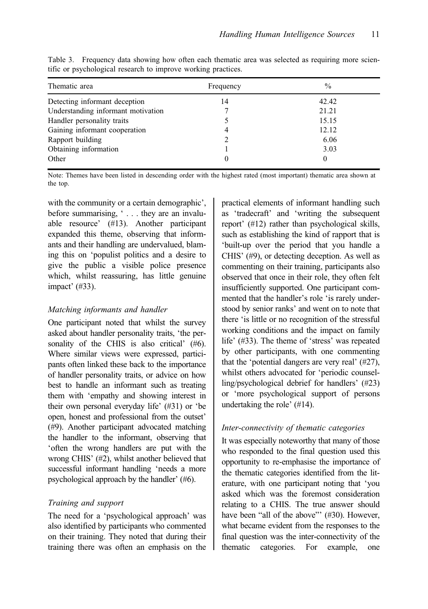| Thematic area                      | Frequency | $\%$  |
|------------------------------------|-----------|-------|
| Detecting informant deception      | 14        | 42.42 |
| Understanding informant motivation |           | 21.21 |
| Handler personality traits         |           | 15.15 |
| Gaining informant cooperation      | 4         | 12.12 |
| Rapport building                   |           | 6.06  |
| Obtaining information              |           | 3.03  |
| Other                              | 0         | 0     |

<span id="page-11-0"></span>Table 3. Frequency data showing how often each thematic area was selected as requiring more scientific or psychological research to improve working practices.

Note: Themes have been listed in descending order with the highest rated (most important) thematic area shown at the top.

with the community or a certain demographic', before summarising, ' . . . they are an invaluable resource' (#13). Another participant expanded this theme, observing that informants and their handling are undervalued, blaming this on 'populist politics and a desire to give the public a visible police presence which, whilst reassuring, has little genuine impact' (#33).

#### Matching informants and handler

One participant noted that whilst the survey asked about handler personality traits, 'the personality of the CHIS is also critical' (#6). Where similar views were expressed, participants often linked these back to the importance of handler personality traits, or advice on how best to handle an informant such as treating them with 'empathy and showing interest in their own personal everyday life' (#31) or 'be open, honest and professional from the outset' (#9). Another participant advocated matching the handler to the informant, observing that 'often the wrong handlers are put with the wrong CHIS' (#2), whilst another believed that successful informant handling 'needs a more psychological approach by the handler' (#6).

# Training and support

The need for a 'psychological approach' was also identified by participants who commented on their training. They noted that during their training there was often an emphasis on the

practical elements of informant handling such as 'tradecraft' and 'writing the subsequent report' (#12) rather than psychological skills, such as establishing the kind of rapport that is 'built-up over the period that you handle a CHIS' (#9), or detecting deception. As well as commenting on their training, participants also observed that once in their role, they often felt insufficiently supported. One participant commented that the handler's role 'is rarely understood by senior ranks' and went on to note that there 'is little or no recognition of the stressful working conditions and the impact on family life' (#33). The theme of 'stress' was repeated by other participants, with one commenting that the 'potential dangers are very real' (#27), whilst others advocated for 'periodic counselling/psychological debrief for handlers' (#23) or 'more psychological support of persons undertaking the role' (#14).

# Inter-connectivity of thematic categories

It was especially noteworthy that many of those who responded to the final question used this opportunity to re-emphasise the importance of the thematic categories identified from the literature, with one participant noting that 'you asked which was the foremost consideration relating to a CHIS. The true answer should have been "all of the above"' (#30). However, what became evident from the responses to the final question was the inter-connectivity of the thematic categories. For example, one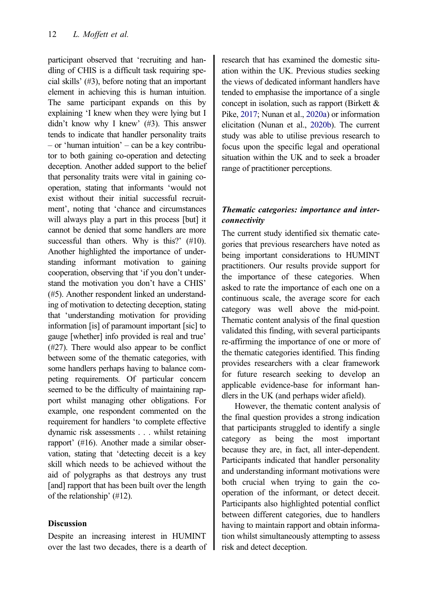participant observed that 'recruiting and handling of CHIS is a difficult task requiring special skills' (#3), before noting that an important element in achieving this is human intuition. The same participant expands on this by explaining 'I knew when they were lying but I didn't know why I knew' (#3). This answer tends to indicate that handler personality traits – or 'human intuition' – can be a key contributor to both gaining co-operation and detecting deception. Another added support to the belief that personality traits were vital in gaining cooperation, stating that informants 'would not exist without their initial successful recruitment', noting that 'chance and circumstances will always play a part in this process [but] it cannot be denied that some handlers are more successful than others. Why is this?' (#10). Another highlighted the importance of understanding informant motivation to gaining cooperation, observing that 'if you don't understand the motivation you don't have a CHIS' (#5). Another respondent linked an understanding of motivation to detecting deception, stating that 'understanding motivation for providing information [is] of paramount important [sic] to gauge [whether] info provided is real and true' (#27). There would also appear to be conflict between some of the thematic categories, with some handlers perhaps having to balance competing requirements. Of particular concern seemed to be the difficulty of maintaining rapport whilst managing other obligations. For example, one respondent commented on the requirement for handlers 'to complete effective dynamic risk assessments . . . whilst retaining rapport' (#16). Another made a similar observation, stating that 'detecting deceit is a key skill which needs to be achieved without the aid of polygraphs as that destroys any trust [and] rapport that has been built over the length of the relationship' (#12).

# Discussion

Despite an increasing interest in HUMINT over the last two decades, there is a dearth of research that has examined the domestic situation within the UK. Previous studies seeking the views of dedicated informant handlers have tended to emphasise the importance of a single concept in isolation, such as rapport (Birkett & Pike, [2017;](#page-17-0) Nunan et al., [2020a\)](#page-18-0) or information elicitation (Nunan et al., [2020b\)](#page-18-0). The current study was able to utilise previous research to focus upon the specific legal and operational situation within the UK and to seek a broader range of practitioner perceptions.

# Thematic categories: importance and interconnectivity

The current study identified six thematic categories that previous researchers have noted as being important considerations to HUMINT practitioners. Our results provide support for the importance of these categories. When asked to rate the importance of each one on a continuous scale, the average score for each category was well above the mid-point. Thematic content analysis of the final question validated this finding, with several participants re-affirming the importance of one or more of the thematic categories identified. This finding provides researchers with a clear framework for future research seeking to develop an applicable evidence-base for informant handlers in the UK (and perhaps wider afield).

However, the thematic content analysis of the final question provides a strong indication that participants struggled to identify a single category as being the most important because they are, in fact, all inter-dependent. Participants indicated that handler personality and understanding informant motivations were both crucial when trying to gain the cooperation of the informant, or detect deceit. Participants also highlighted potential conflict between different categories, due to handlers having to maintain rapport and obtain information whilst simultaneously attempting to assess risk and detect deception.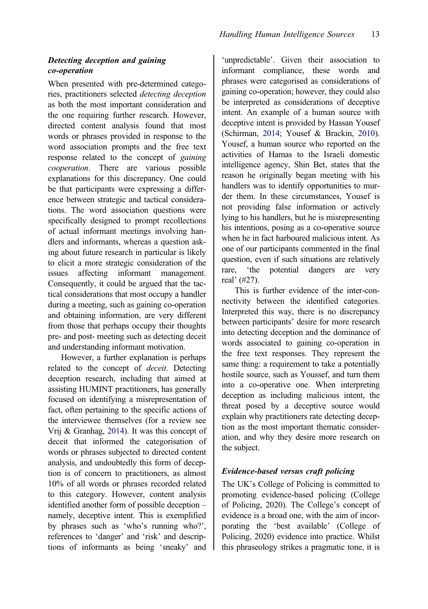# Detecting deception and gaining co-operation

When presented with pre-determined categories, practitioners selected detecting deception as both the most important consideration and the one requiring further research. However, directed content analysis found that most words or phrases provided in response to the word association prompts and the free text response related to the concept of gaining cooperation. There are various possible explanations for this discrepancy. One could be that participants were expressing a difference between strategic and tactical considerations. The word association questions were specifically designed to prompt recollections of actual informant meetings involving handlers and informants, whereas a question asking about future research in particular is likely to elicit a more strategic consideration of the issues affecting informant management. Consequently, it could be argued that the tactical considerations that most occupy a handler during a meeting, such as gaining co-operation and obtaining information, are very different from those that perhaps occupy their thoughts pre- and post- meeting such as detecting deceit and understanding informant motivation.

However, a further explanation is perhaps related to the concept of deceit. Detecting deception research, including that aimed at assisting HUMINT practitioners, has generally focused on identifying a misrepresentation of fact, often pertaining to the specific actions of the interviewee themselves (for a review see Vrij & Granhag, [2014](#page-19-0)). It was this concept of deceit that informed the categorisation of words or phrases subjected to directed content analysis, and undoubtedly this form of deception is of concern to practitioners, as almost 10% of all words or phrases recorded related to this category. However, content analysis identified another form of possible deception – namely, deceptive intent. This is exemplified by phrases such as 'who's running who?', references to 'danger' and 'risk' and descriptions of informants as being 'sneaky' and

'unpredictable'. Given their association to informant compliance, these words and phrases were categorised as considerations of gaining co-operation; however, they could also be interpreted as considerations of deceptive intent. An example of a human source with deceptive intent is provided by Hassan Yousef (Schirman, [2014](#page-19-0); Yousef & Brackin, [2010](#page-19-0)). Yousef, a human source who reported on the activities of Hamas to the Israeli domestic intelligence agency, Shin Bet, states that the reason he originally began meeting with his handlers was to identify opportunities to murder them. In these circumstances, Yousef is not providing false information or actively lying to his handlers, but he is misrepresenting his intentions, posing as a co-operative source when he in fact harboured malicious intent. As one of our participants commented in the final question, even if such situations are relatively rare, 'the potential dangers are very real' (#27).

This is further evidence of the inter-connectivity between the identified categories. Interpreted this way, there is no discrepancy between participants' desire for more research into detecting deception and the dominance of words associated to gaining co-operation in the free text responses. They represent the same thing: a requirement to take a potentially hostile source, such as Youssef, and turn them into a co-operative one. When interpreting deception as including malicious intent, the threat posed by a deceptive source would explain why practitioners rate detecting deception as the most important thematic consideration, and why they desire more research on the subject.

#### Evidence-based versus craft policing

The UK's College of Policing is committed to promoting evidence-based policing (College of Policing, 2020). The College's concept of evidence is a broad one, with the aim of incorporating the 'best available' (College of Policing, 2020) evidence into practice. Whilst this phraseology strikes a pragmatic tone, it is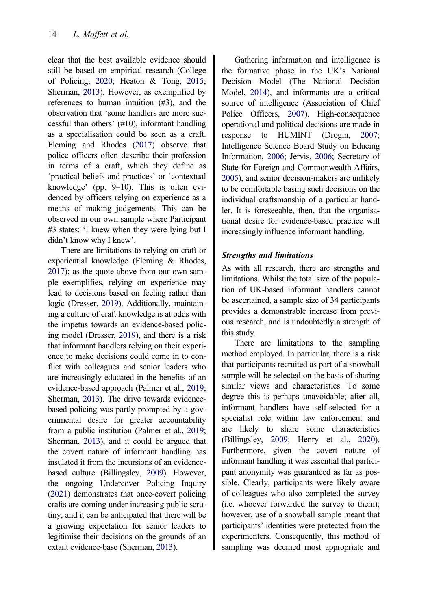<span id="page-14-0"></span>clear that the best available evidence should still be based on empirical research (College of Policing, [2020;](#page-17-0) Heaton & Tong, [2015;](#page-17-0) Sherman, [2013](#page-19-0)). However, as exemplified by references to human intuition (#3), and the observation that 'some handlers are more successful than others' (#10), informant handling as a specialisation could be seen as a craft. Fleming and Rhodes [\(2017](#page-17-0)) observe that police officers often describe their profession in terms of a craft, which they define as 'practical beliefs and practices' or 'contextual knowledge' (pp. 9–10). This is often evidenced by officers relying on experience as a means of making judgements. This can be observed in our own sample where Participant #3 states: 'I knew when they were lying but I didn't know why I knew'.

There are limitations to relying on craft or experiential knowledge (Fleming & Rhodes, [2017\)](#page-17-0); as the quote above from our own sample exemplifies, relying on experience may lead to decisions based on feeling rather than logic (Dresser, [2019\)](#page-17-0). Additionally, maintaining a culture of craft knowledge is at odds with the impetus towards an evidence-based policing model (Dresser, [2019](#page-17-0)), and there is a risk that informant handlers relying on their experience to make decisions could come in to conflict with colleagues and senior leaders who are increasingly educated in the benefits of an evidence-based approach (Palmer et al., [2019;](#page-18-0) Sherman, [2013\)](#page-19-0). The drive towards evidencebased policing was partly prompted by a governmental desire for greater accountability from a public institution (Palmer et al., [2019;](#page-18-0) Sherman, [2013\)](#page-19-0), and it could be argued that the covert nature of informant handling has insulated it from the incursions of an evidencebased culture (Billingsley, [2009](#page-17-0)). However, the ongoing Undercover Policing Inquiry [\(2021\)](#page-19-0) demonstrates that once-covert policing crafts are coming under increasing public scrutiny, and it can be anticipated that there will be a growing expectation for senior leaders to legitimise their decisions on the grounds of an extant evidence-base (Sherman, [2013\)](#page-19-0).

Gathering information and intelligence is the formative phase in the UK's National Decision Model (The National Decision Model, [2014\)](#page-19-0), and informants are a critical source of intelligence (Association of Chief Police Officers, [2007](#page-17-0)). High-consequence operational and political decisions are made in response to HUMINT (Drogin, [2007](#page-17-0); Intelligence Science Board Study on Educing Information, [2006;](#page-18-0) Jervis, [2006;](#page-18-0) Secretary of State for Foreign and Commonwealth Affairs, [2005\)](#page-19-0), and senior decision-makers are unlikely to be comfortable basing such decisions on the individual craftsmanship of a particular handler. It is foreseeable, then, that the organisational desire for evidence-based practice will increasingly influence informant handling.

#### Strengths and limitations

As with all research, there are strengths and limitations. Whilst the total size of the population of UK-based informant handlers cannot be ascertained, a sample size of 34 participants provides a demonstrable increase from previous research, and is undoubtedly a strength of this study.

There are limitations to the sampling method employed. In particular, there is a risk that participants recruited as part of a snowball sample will be selected on the basis of sharing similar views and characteristics. To some degree this is perhaps unavoidable; after all, informant handlers have self-selected for a specialist role within law enforcement and are likely to share some characteristics (Billingsley, [2009;](#page-17-0) Henry et al., [2020](#page-18-0)). Furthermore, given the covert nature of informant handling it was essential that participant anonymity was guaranteed as far as possible. Clearly, participants were likely aware of colleagues who also completed the survey (i.e. whoever forwarded the survey to them); however, use of a snowball sample meant that participants' identities were protected from the experimenters. Consequently, this method of sampling was deemed most appropriate and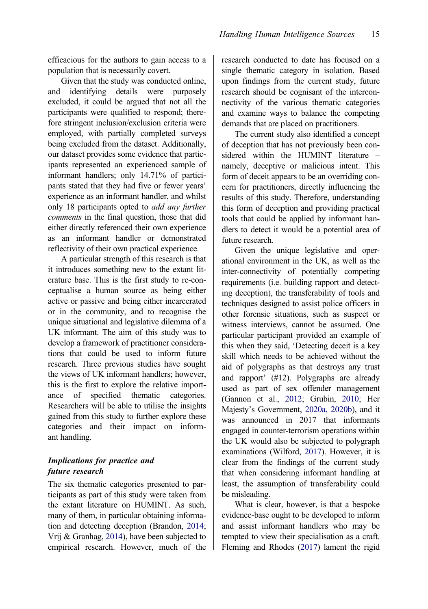<span id="page-15-0"></span>efficacious for the authors to gain access to a population that is necessarily covert.

Given that the study was conducted online, and identifying details were purposely excluded, it could be argued that not all the participants were qualified to respond; therefore stringent inclusion/exclusion criteria were employed, with partially completed surveys being excluded from the dataset. Additionally, our dataset provides some evidence that participants represented an experienced sample of informant handlers; only 14.71% of participants stated that they had five or fewer years' experience as an informant handler, and whilst only 18 participants opted to add any further comments in the final question, those that did either directly referenced their own experience as an informant handler or demonstrated reflectivity of their own practical experience.

A particular strength of this research is that it introduces something new to the extant literature base. This is the first study to re-conceptualise a human source as being either active or passive and being either incarcerated or in the community, and to recognise the unique situational and legislative dilemma of a UK informant. The aim of this study was to develop a framework of practitioner considerations that could be used to inform future research. Three previous studies have sought the views of UK informant handlers; however, this is the first to explore the relative importance of specified thematic categories. Researchers will be able to utilise the insights gained from this study to further explore these categories and their impact on informant handling.

### Implications for practice and future research

The six thematic categories presented to participants as part of this study were taken from the extant literature on HUMINT. As such, many of them, in particular obtaining information and detecting deception (Brandon, [2014;](#page-17-0) Vrij & Granhag, [2014](#page-19-0)), have been subjected to empirical research. However, much of the research conducted to date has focused on a single thematic category in isolation. Based upon findings from the current study, future research should be cognisant of the interconnectivity of the various thematic categories and examine ways to balance the competing demands that are placed on practitioners.

The current study also identified a concept of deception that has not previously been considered within the HUMINT literature – namely, deceptive or malicious intent. This form of deceit appears to be an overriding concern for practitioners, directly influencing the results of this study. Therefore, understanding this form of deception and providing practical tools that could be applied by informant handlers to detect it would be a potential area of future research.

Given the unique legislative and operational environment in the UK, as well as the inter-connectivity of potentially competing requirements (i.e. building rapport and detecting deception), the transferability of tools and techniques designed to assist police officers in other forensic situations, such as suspect or witness interviews, cannot be assumed. One particular participant provided an example of this when they said, 'Detecting deceit is a key skill which needs to be achieved without the aid of polygraphs as that destroys any trust and rapport' (#12). Polygraphs are already used as part of sex offender management (Gannon et al., [2012](#page-17-0); Grubin, [2010;](#page-17-0) Her Majesty's Government, [2020a, 2020b\)](#page-18-0), and it was announced in 2017 that informants engaged in counter-terrorism operations within the UK would also be subjected to polygraph examinations (Wilford, [2017\)](#page-19-0). However, it is clear from the findings of the current study that when considering informant handling at least, the assumption of transferability could be misleading.

What is clear, however, is that a bespoke evidence-base ought to be developed to inform and assist informant handlers who may be tempted to view their specialisation as a craft. Fleming and Rhodes ([2017\)](#page-17-0) lament the rigid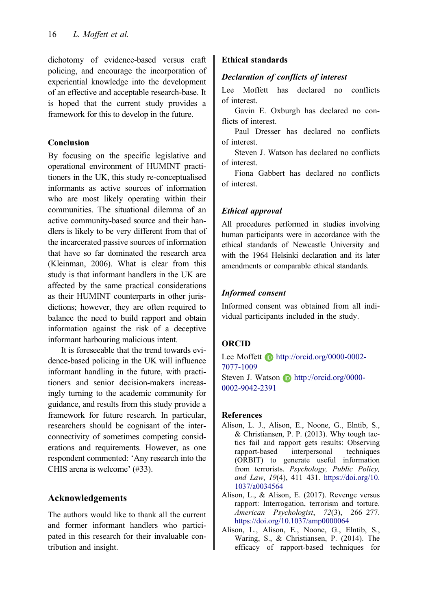<span id="page-16-0"></span>dichotomy of evidence-based versus craft policing, and encourage the incorporation of experiential knowledge into the development of an effective and acceptable research-base. It is hoped that the current study provides a framework for this to develop in the future.

#### Conclusion

By focusing on the specific legislative and operational environment of HUMINT practitioners in the UK, this study re-conceptualised informants as active sources of information who are most likely operating within their communities. The situational dilemma of an active community-based source and their handlers is likely to be very different from that of the incarcerated passive sources of information that have so far dominated the research area (Kleinman, 2006). What is clear from this study is that informant handlers in the UK are affected by the same practical considerations as their HUMINT counterparts in other jurisdictions; however, they are often required to balance the need to build rapport and obtain information against the risk of a deceptive informant harbouring malicious intent.

It is foreseeable that the trend towards evidence-based policing in the UK will influence informant handling in the future, with practitioners and senior decision-makers increasingly turning to the academic community for guidance, and results from this study provide a framework for future research. In particular, researchers should be cognisant of the interconnectivity of sometimes competing considerations and requirements. However, as one respondent commented: 'Any research into the CHIS arena is welcome' (#33).

# Acknowledgements

The authors would like to thank all the current and former informant handlers who participated in this research for their invaluable contribution and insight.

# Ethical standards

# Declaration of conflicts of interest

Lee Moffett has declared no conflicts of interest.

Gavin E. Oxburgh has declared no conflicts of interest.

Paul Dresser has declared no conflicts of interest.

Steven J. Watson has declared no conflicts of interest.

Fiona Gabbert has declared no conflicts of interest.

# Ethical approval

All procedures performed in studies involving human participants were in accordance with the ethical standards of Newcastle University and with the 1964 Helsinki declaration and its later amendments or comparable ethical standards.

# Informed consent

Informed consent was obtained from all individual participants included in the study.

# ORCID

Lee Moffett **h**ttp://orcid.org/0000-0002-7077-1009 Steven J. Watson **http://orcid.org/0000-**

0002-9042-2391

#### References

- Alison, L. J., Alison, E., Noone, G., Elntib, S., & Christiansen, P. P. [\(2013](#page-7-0)). Why tough tactics fail and rapport gets results: Observing rapport-based interpersonal techniques (ORBIT) to generate useful information from terrorists. Psychology, Public Policy, and Law, 19(4), 411–431. [https://doi.org/10.](https://doi.org/10.1037/a0034564) [1037/a0034564](https://doi.org/10.1037/a0034564)
- Alison, L., & Alison, E. [\(2017](#page-3-0)). Revenge versus rapport: Interrogation, terrorism and torture. American Psychologist, 72(3), 266–277. <https://doi.org/10.1037/amp0000064>
- Alison, L., Alison, E., Noone, G., Elntib, S., Waring, S., & Christiansen, P. [\(2014](#page-7-0)). The efficacy of rapport-based techniques for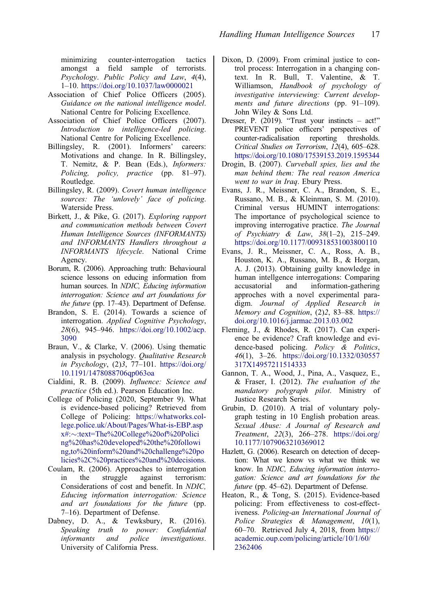<span id="page-17-0"></span>minimizing counter-interrogation tactics amongst a field sample of terrorists. Psychology. Public Policy and Law, 4(4), 1–10. <https://doi.org/10.1037/law0000021>

- Association of Chief Police Officers [\(2005](#page-2-0)). Guidance on the national intelligence model. National Centre for Policing Excellence.
- Association of Chief Police Officers [\(2007](#page-2-0)). Introduction to intelligence-led policing. National Centre for Policing Excellence.
- Billingsley, R. [\(2001](#page-5-0)). Informers' careers: Motivations and change. In R. Billingsley, T. Nemitz, & P. Bean (Eds.), Informers: Policing, policy, practice (pp. 81–97). Routledge.
- Billingsley, R. [\(2009](#page-1-0)). Covert human intelligence sources: The 'unlovely' face of policing. Waterside Press.
- Birkett, J., & Pike, G. ([2017\)](#page-2-0). Exploring rapport and communication methods between Covert Human Intelligence Sources (INFORMANTS) and INFORMANTS Handlers throughout a INFORMANTS lifecycle. National Crime Agency.
- Borum, R. [\(2006\)](#page-3-0). Approaching truth: Behavioural science lessons on educing information from human sources. In NDIC, Educing information interrogation: Science and art foundations for the future (pp. 17–43). Department of Defense.
- Brandon, S. E. [\(2014](#page-3-0)). Towards a science of interrogation. Applied Cognitive Psychology, 28(6), 945–946. [https://doi.org/10.1002/acp.](https://doi.org/10.1002/acp.3090) [3090](https://doi.org/10.1002/acp.3090)
- Braun, V., & Clarke, V. [\(2006](#page-9-0)). Using thematic analysis in psychology. Qualitative Research in Psychology, (2)3, 77–101. [https://doi.org/](https://doi.org/10.1191/1478088706qp063oa) [10.1191/1478088706qp063oa](https://doi.org/10.1191/1478088706qp063oa)
- Cialdini, R. B. [\(2009\)](#page-7-0). Influence: Science and practice (5th ed.). Pearson Education Inc.
- College of Policing ([2020,](#page-1-0) September 9). What is evidence-based policing? Retrieved from College of Policing: [https://whatworks.col](https://whatworks.college.police.uk/About/Pages/What-is-EBP.aspx#:<:text=The%20College%20of%20Policing%20has%20developed%20the%20following,to%20inform%20and%20challenge%20policies%2C%20practices%20and%20decisions)[lege.police.uk/About/Pages/What-is-EBP.asp](https://whatworks.college.police.uk/About/Pages/What-is-EBP.aspx#:<:text=The%20College%20of%20Policing%20has%20developed%20the%20following,to%20inform%20and%20challenge%20policies%2C%20practices%20and%20decisions)  $x\#:\sim:\text{text}=The\%20College\%20of\%20Polici$ [ng%20has%20developed%20the%20followi](https://whatworks.college.police.uk/About/Pages/What-is-EBP.aspx#:<:text=The%20College%20of%20Policing%20has%20developed%20the%20following,to%20inform%20and%20challenge%20policies%2C%20practices%20and%20decisions) [ng,to%20inform%20and%20challenge%20po](https://whatworks.college.police.uk/About/Pages/What-is-EBP.aspx#:<:text=The%20College%20of%20Policing%20has%20developed%20the%20following,to%20inform%20and%20challenge%20policies%2C%20practices%20and%20decisions) [licies%2C%20practices%20and%20decisions](https://whatworks.college.police.uk/About/Pages/What-is-EBP.aspx#:<:text=The%20College%20of%20Policing%20has%20developed%20the%20following,to%20inform%20and%20challenge%20policies%2C%20practices%20and%20decisions).
- Coulam, R. ([2006\)](#page-3-0). Approaches to interrogation in the struggle against terrorism: Considerations of cost and benefit. In NDIC, Educing information interrogation: Science and art foundations for the future (pp. 7–16). Department of Defense.
- Dabney, D. A., & Tewksbury, R. [\(2016](#page-5-0)). Speaking truth to power: Confidential informants and police investigations. University of California Press.
- Dixon, D. ([2009\)](#page-2-0). From criminal justice to control process: Interrogation in a changing context. In R. Bull, T. Valentine, & T. Williamson, Handbook of psychology of investigative interviewing: Current developments and future directions (pp. 91–109). John Wiley & Sons Ltd.
- Dresser, P. ([2019\)](#page-14-0). "Trust your instincts act!" PREVENT police officers' perspectives of counter-radicalisation reporting thresholds. Critical Studies on Terrorism, 12(4), 605–628. <https://doi.org/10.1080/17539153.2019.1595344>
- Drogin, B. [\(2007](#page-3-0)). Curveball spies, lies and the man behind them: The real reason America went to war in Iraq. Ebury Press.
- Evans, J. R., Meissner, C. A., Brandon, S. E., Russano, M. B., & Kleinman, S. M. [\(2010\)](#page-3-0). Criminal versus HUMINT interrogations: The importance of psychological science to improving interrogative practice. The Journal of Psychiatry & Law, 38(1–2), 215–249. <https://doi.org/10.1177/009318531003800110>
- Evans, J. R., Meissner, C. A., Ross, A. B., Houston, K. A., Russano, M. B., & Horgan, A. J. ([2013\)](#page-3-0). Obtaining guilty knowledge in human intellgence interrogations: Comparing accusatorial and information-gathering approches with a novel experimental paradigm. Journal of Applied Research in Memory and Cognition, (2)2, 83–88. [https://](https://doi.org/10.1016/j.jarmac.2013.03.002) [doi.org/10.1016/j.jarmac.2013.03.002](https://doi.org/10.1016/j.jarmac.2013.03.002)
- Fleming, J., & Rhodes, R. ([2017\)](#page-2-0). Can experience be evidence? Craft knowledge and evidence-based policing. Policy & Politics, 46(1), 3–26. [https://doi.org/10.1332/030557](https://doi.org/10.1332/030557317X14957211514333) [317X14957211514333](https://doi.org/10.1332/030557317X14957211514333)
- Gannon, T. A., Wood, J., Pina, A., Vasquez, E., & Fraser, I. [\(2012](#page-15-0)). The evaluation of the mandatory polygraph pilot. Ministry of Justice Research Series.
- Grubin, D. ([2010\)](#page-15-0). A trial of voluntary polygraph testing in 10 English probation areas. Sexual Abuse: A Journal of Research and Treatment, 22(3), 266–278. [https://doi.org/](https://doi.org/10.1177/1079063210369012) [10.1177/1079063210369012](https://doi.org/10.1177/1079063210369012)
- Hazlett, G. [\(2006\)](#page-3-0). Research on detection of deception: What we know vs what we think we know. In NDIC, Educing information interrogation: Science and art foundations for the future (pp. 45–62). Department of Defense.
- Heaton, R., & Tong, S. ([2015\)](#page-2-0). Evidence-based policing: From effectiveness to cost-effectiveness. Policing-an International Journal of Police Strategies & Management, 10(1), 60–70. Retrieved July 4, 2018, from [https://](https://academic.oup.com/policing/article/10/1/60/2362406) [academic.oup.com/policing/article/10/1/60/](https://academic.oup.com/policing/article/10/1/60/2362406) [2362406](https://academic.oup.com/policing/article/10/1/60/2362406)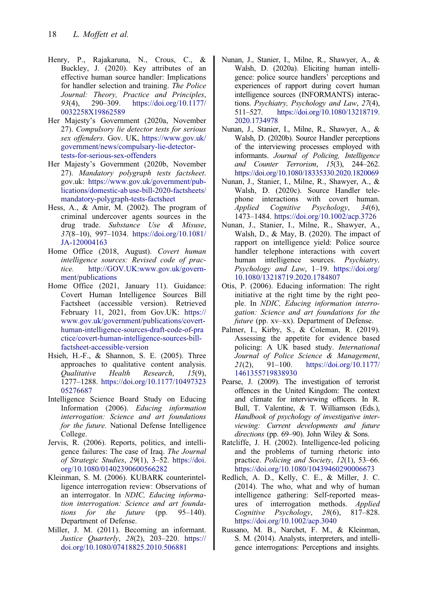- <span id="page-18-0"></span>Henry, P., Rajakaruna, N., Crous, C., & Buckley, J. [\(2020](#page-14-0)). Key attributes of an effective human source handler: Implications for handler selection and training. The Police Journal: Theory, Practice and Principles, 93(4), 290–309. [https://doi.org/10.1177/](https://doi.org/10.1177/0032258X19862589) [0032258X19862589](https://doi.org/10.1177/0032258X19862589)
- Her Majesty's Government ([2020a,](#page-15-0) November 27). Compulsory lie detector tests for serious sex offenders. Gov. UK, [https://www.gov.uk/](https://www.gov.uk/government/news/compulsary-lie-detector-tests-for-serious-sex-offenders) [government/news/compulsary-lie-detector](https://www.gov.uk/government/news/compulsary-lie-detector-tests-for-serious-sex-offenders)[tests-for-serious-sex-offenders](https://www.gov.uk/government/news/compulsary-lie-detector-tests-for-serious-sex-offenders)
- Her Majesty's Government (2020b, November 27). Mandatory polygraph tests factsheet. gov.uk: [https://www.gov.uk/government/pub](https://www.gov.uk/government/publications/domestic-abuse-bill-2020-factsheets/mandatory-polygraph-tests-factsheet)[lications/domestic-ab use-bill-2020-factsheets/](https://www.gov.uk/government/publications/domestic-abuse-bill-2020-factsheets/mandatory-polygraph-tests-factsheet) [mandatory-polygraph-tests-factsheet](https://www.gov.uk/government/publications/domestic-abuse-bill-2020-factsheets/mandatory-polygraph-tests-factsheet)
- Hess, A., & Amir, M. [\(2002](#page-5-0)). The program of criminal undercover agents sources in the drug trade. Substance Use & Misuse, 37(8–10), 997–1034. [https://doi.org/10.1081/](https://doi.org/10.1081/JA-120004163) [JA-120004163](https://doi.org/10.1081/JA-120004163)
- Home Office ([2018,](#page-3-0) August). Covert human intelligence sources: Revised code of practice. [http://GOV.UK:www.gov.uk/govern](http://GOV.UK:www.gov.uk/government/publications)[ment/publications](http://GOV.UK:www.gov.uk/government/publications)
- Home Office [\(2021](#page-1-0), January 11). Guidance: Covert Human Intelligence Sources Bill Factsheet (accessible version). Retrieved February 11, 2021, from Gov.UK: [https://](https://www.gov.uk/government/publications/covert-human-intelligence-sources-draft-code-of-practice/covert-human-intelligence-sources-bill-factsheet-accessible-version) [www.gov.uk/government/publications/covert](https://www.gov.uk/government/publications/covert-human-intelligence-sources-draft-code-of-practice/covert-human-intelligence-sources-bill-factsheet-accessible-version)[human-intelligence-sources-draft-code-of-pra](https://www.gov.uk/government/publications/covert-human-intelligence-sources-draft-code-of-practice/covert-human-intelligence-sources-bill-factsheet-accessible-version) [ctice/covert-human-intelligence-sources-bill](https://www.gov.uk/government/publications/covert-human-intelligence-sources-draft-code-of-practice/covert-human-intelligence-sources-bill-factsheet-accessible-version)[factsheet-accessible-version](https://www.gov.uk/government/publications/covert-human-intelligence-sources-draft-code-of-practice/covert-human-intelligence-sources-bill-factsheet-accessible-version)
- Hsieh, H.-F., & Shannon, S. E. [\(2005](#page-6-0)). Three approaches to qualitative content analysis. Qualitative Health Research, 15(9), 1277–1288. [https://doi.org/10.1177/10497323](https://doi.org/10.1177/1049732305276687) [05276687](https://doi.org/10.1177/1049732305276687)
- Intelligence Science Board Study on Educing Information ([2006\)](#page-3-0). Educing information interrogation: Science and art foundations for the future. National Defense Intelligence College.
- Jervis, R. [\(2006](#page-14-0)). Reports, politics, and intelligence failures: The case of Iraq. The Journal of Strategic Studies, 29(1), 3–52. [https://doi.](https://doi.org/10.1080/01402390600566282) [org/10.1080/01402390600566282](https://doi.org/10.1080/01402390600566282)
- Kleinman, S. M. ([2006\)](#page-3-0). KUBARK counterintelligence interrogation review: Observations of an interrogator. In NDIC, Educing information interrogation: Science and art foundations for the future (pp. 95–140). Department of Defense.
- Miller, J. M. [\(2011](#page-5-0)). Becoming an informant. Justice Quarterly, 28(2), 203–220. [https://](https://doi.org/10.1080/07418825.2010.506881) [doi.org/10.1080/07418825.2010.506881](https://doi.org/10.1080/07418825.2010.506881)
- Nunan, J., Stanier, I., Milne, R., Shawyer, A., & Walsh, D. [\(2020a](#page-1-0)). Eliciting human intelligence: police source handlers' perceptions and experiences of rapport during covert human intelligence sources (INFORMANTS) interactions. Psychiatry, Psychology and Law, 27(4), 511–527. [https://doi.org/10.1080/13218719.](https://doi.org/10.1080/13218719.2020.1734978) [2020.1734978](https://doi.org/10.1080/13218719.2020.1734978)
- Nunan, J., Stanier, I., Milne, R., Shawyer, A., & Walsh, D. ([2020b](#page-2-0)). Source Handler perceptions of the interviewing processes employed with informants. Journal of Policing, Intelligence and Counter Terrorism, 15(3), 244–262. <https://doi.org/10.1080/18335330.2020.1820069>
- Nunan, J., Stanier, I., Milne, R., Shawyer, A., & Walsh, D. ([2020c\)](#page-2-0). Source Handler telephone interactions with covert human. Applied Cognitive Psychology, 34(6), 1473–1484. <https://doi.org/10.1002/acp.3726>
- Nunan, J., Stanier, I., Milne, R., Shawyer, A., Walsh, D., & May, B. [\(2020](#page-2-0)). The impact of rapport on intelligence yield: Police source handler telephone interactions with covert human intelligence sources. Psychiatry, Psychology and Law, 1–19. [https://doi.org/](https://doi.org/10.1080/13218719.2020.1784807) [10.1080/13218719.2020.1784807](https://doi.org/10.1080/13218719.2020.1784807)
- Otis, P. ([2006\)](#page-3-0). Educing information: The right initiative at the right time by the right people. In NDIC, Educing information interrogation: Science and art foundations for the future (pp. xv-xx). Department of Defense.
- Palmer, I., Kirby, S., & Coleman, R. ([2019\)](#page-14-0). Assessing the appetite for evidence based policing: A UK based study. International Journal of Police Science & Management, 21(2), 91–100. [https://doi.org/10.1177/](https://doi.org/10.1177/1461355719838930) [1461355719838930](https://doi.org/10.1177/1461355719838930)
- Pearse, J. [\(2009](#page-2-0)). The investigation of terrorist offences in the United Kingdom: The context and climate for interviewing officers. In R. Bull, T. Valentine, & T. Williamson (Eds.), Handbook of psychology of investigative interviewing: Current developments and future directions (pp. 69–90). John Wiley & Sons.
- Ratcliffe, J. H. ([2002\)](#page-2-0). Intelligence-led policing and the problems of turning rhetoric into practice. Policing and Society, 12(1), 53–66. <https://doi.org/10.1080/10439460290006673>
- Redlich, A. D., Kelly, C. E., & Miller, J. C. ([2014\)](#page-2-0). The who, what and why of human intelligence gathering: Self-reported measures of interrogation methods. Applied Cognitive Psychology, 28(6), 817–828. <https://doi.org/10.1002/acp.3040>
- Russano, M. B., Narchet, F. M., & Kleinman, S. M. (2014). Analysts, interpreters, and intelligence interrogations: Perceptions and insights.